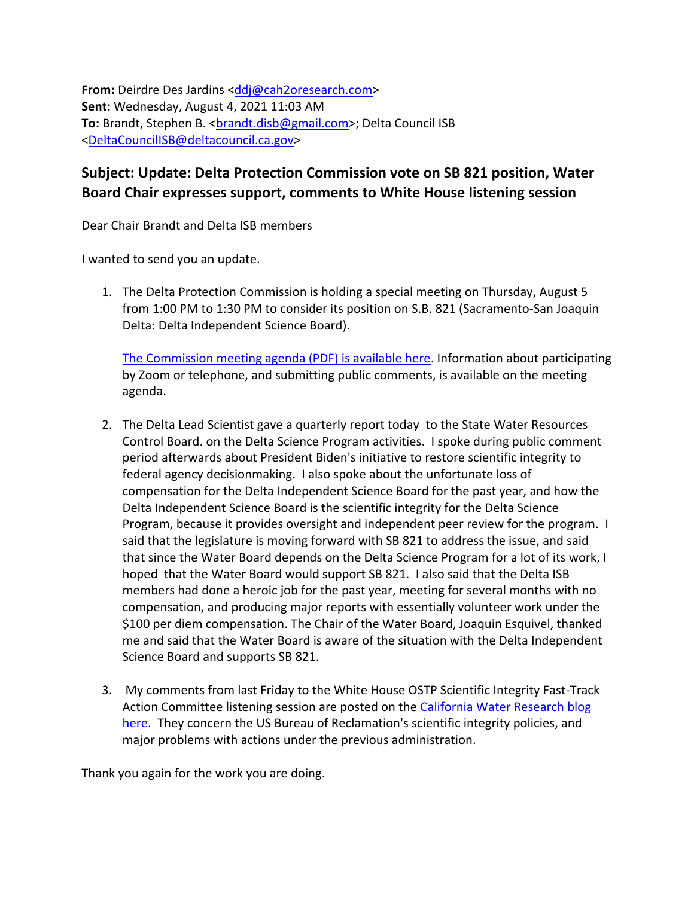**From:** Deirdre Des Jardins [<ddj@cah2oresearch.com>](mailto:ddj@cah2oresearch.com) **Sent:** Wednesday, August 4, 2021 11:03 AM To: Brandt, Stephen B. [<brandt.disb@gmail.com>](mailto:brandt.disb@gmail.com); Delta Council ISB [<DeltaCouncilISB@deltacouncil.ca.gov>](mailto:DeltaCouncilISB@deltacouncil.ca.gov)

## **Subject: Update: Delta Protection Commission vote on SB 821 position, Water Board Chair expresses support, comments to White House listening session**

Dear Chair Brandt and Delta ISB members

I wanted to send you an update.

1. The Delta Protection Commission is holding a special meeting on Thursday, August 5 from 1:00 PM to 1:30 PM to consider its position on S.B. 821 (Sacramento-San Joaquin Delta: Delta Independent Science Board).

[The Commission meeting agenda \(PDF\) is available here.](http://delta.ca.gov/wp-content/uploads/2021/07/2021-08-05-DPC-AGENDA-508.pdf) Information about participating by Zoom or telephone, and submitting public comments, is available on the meeting agenda.

- 2. The Delta Lead Scientist gave a quarterly report today to the State Water Resources Control Board. on the Delta Science Program activities. I spoke during public comment period afterwards about President Biden's initiative to restore scientific integrity to federal agency decisionmaking. I also spoke about the unfortunate loss of compensation for the Delta Independent Science Board for the past year, and how the Delta Independent Science Board is the scientific integrity for the Delta Science Program, because it provides oversight and independent peer review for the program. I said that the legislature is moving forward with SB 821 to address the issue, and said that since the Water Board depends on the Delta Science Program for a lot of its work, I hoped that the Water Board would support SB 821. I also said that the Delta ISB members had done a heroic job for the past year, meeting for several months with no compensation, and producing major reports with essentially volunteer work under the \$100 per diem compensation. The Chair of the Water Board, Joaquin Esquivel, thanked me and said that the Water Board is aware of the situation with the Delta Independent Science Board and supports SB 821.
- 3. My comments from last Friday to the White House OSTP Scientific Integrity Fast-Track Action Committee listening session are posted on the [California Water Research blog](https://cah2oresearch.com/2021/08/01/comments-to-the-white-house-scientific-integrity-fast-track-action-committee/)  [here.](https://cah2oresearch.com/2021/08/01/comments-to-the-white-house-scientific-integrity-fast-track-action-committee/) They concern the US Bureau of Reclamation's scientific integrity policies, and major problems with actions under the previous administration.

Thank you again for the work you are doing.